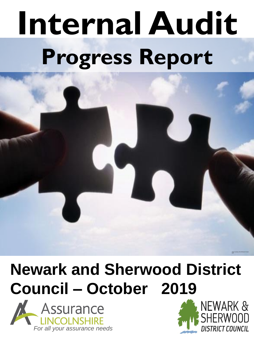# **Internal Audit Progress Report**

## **Newark and Sherwood District Council – October 2019**





Image Courtesy of the Official UK Puzzle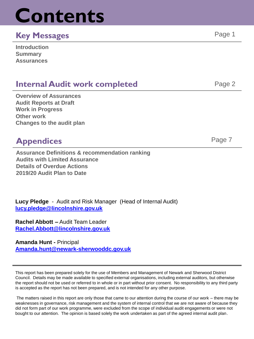## **Contents**

### **Key Messages** Page 1

| <b>Introduction</b> |  |
|---------------------|--|
| <b>Summary</b>      |  |
| <b>Assurances</b>   |  |

### **Internal Audit work completed Fage 2** Page 2

**Overview of Assurances Audit Reports at Draft Work in Progress Other work Changes to the audit plan**

### **Appendices** Page 7

**Assurance Definitions & recommendation ranking Audits with Limited Assurance Details of Overdue Actions 2019/20 Audit Plan to Date**

**Lucy Pledge** - Audit and Risk Manager (Head of Internal Audit) **[lucy.pledge@lincolnshire.gov.uk](mailto:Lucy.pledge@lincolnshire.gov.uk)**

**Rachel Abbott –** Audit Team Leader **[Rachel.Abbott@lincolnshire.gov.uk](mailto:rachel.abbott@lincolnshire.gov.uk)**

**Amanda Hunt -** Principal **[Amanda.hunt@newark-sherwooddc.gov.uk](mailto:Lucy.pledge@lincolnshire.gov.uk)**

This report has been prepared solely for the use of Members and Management of Newark and Sherwood District Council. Details may be made available to specified external organisations, including external auditors, but otherwise the report should not be used or referred to in whole or in part without prior consent. No responsibility to any third party is accepted as the report has not been prepared, and is not intended for any other purpose.

The matters raised in this report are only those that came to our attention during the course of our work – there may be weaknesses in governance, risk management and the system of internal control that we are not aware of because they did not form part of our work programme, were excluded from the scope of individual audit engagements or were not bought to our attention. The opinion is based solely the work undertaken as part of the agreed internal audit plan.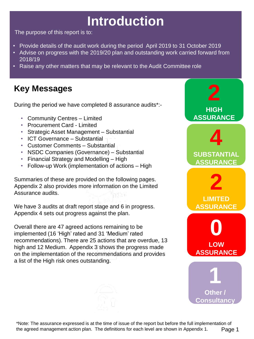## **Introduction**

The purpose of this report is to:

- Provide details of the audit work during the period April 2019 to 31 October 2019
- Advise on progress with the 2019/20 plan and outstanding work carried forward from 2018/19
- Raise any other matters that may be relevant to the Audit Committee role

## **Key Messages**

During the period we have completed 8 assurance audits\*:-

- Community Centres Limited
- Procurement Card Limited
- Strategic Asset Management Substantial
- ICT Governance Substantial
- Customer Comments Substantial
- NSDC Companies (Governance) Substantial
- Financial Strategy and Modelling High
- Follow-up Work (implementation of actions High

Summaries of these are provided on the following pages. Appendix 2 also provides more information on the Limited Assurance audits.

We have 3 audits at draft report stage and 6 in progress. Appendix 4 sets out progress against the plan.

Overall there are 47 agreed actions remaining to be implemented (16 'High' rated and 31 'Medium' rated recommendations). There are 25 actions that are overdue, 13 high and 12 Medium. Appendix 3 shows the progress made on the implementation of the recommendations and provides a list of the High risk ones outstanding.

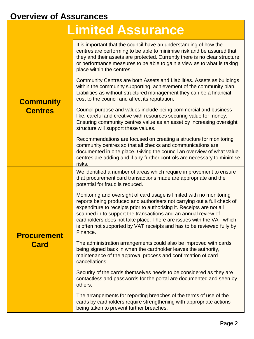## **Overview of Assurances**

## **Limited Assurance**

|                                    | It is important that the council have an understanding of how the<br>centres are performing to be able to minimise risk and be assured that<br>they and their assets are protected. Currently there is no clear structure<br>or performance measures to be able to gain a view as to what is taking<br>place within the centres.<br>Community Centres are both Assets and Liabilities. Assets as buildings<br>within the community supporting achievement of the community plan.<br>Liabilities as without structured management they can be a financial |
|------------------------------------|----------------------------------------------------------------------------------------------------------------------------------------------------------------------------------------------------------------------------------------------------------------------------------------------------------------------------------------------------------------------------------------------------------------------------------------------------------------------------------------------------------------------------------------------------------|
| <b>Community</b><br><b>Centres</b> | cost to the council and affect its reputation.<br>Council purpose and values include being commercial and business<br>like, careful and creative with resources securing value for money.<br>Ensuring community centres value as an asset by increasing oversight<br>structure will support these values.                                                                                                                                                                                                                                                |
|                                    | Recommendations are focused on creating a structure for monitoring<br>community centres so that all checks and communications are<br>documented in one place. Giving the council an overview of what value<br>centres are adding and if any further controls are necessary to minimise<br>risks.                                                                                                                                                                                                                                                         |
| <b>Procurement</b><br><b>Card</b>  | We identified a number of areas which require improvement to ensure<br>that procurement card transactions made are appropriate and the<br>potential for fraud is reduced.                                                                                                                                                                                                                                                                                                                                                                                |
|                                    | Monitoring and oversight of card usage is limited with no monitoring<br>reports being produced and authorisers not carrying out a full check of<br>expenditure to receipts prior to authorising it. Receipts are not all<br>scanned in to support the transactions and an annual review of<br>cardholders does not take place. There are issues with the VAT which<br>is often not supported by VAT receipts and has to be reviewed fully by<br>Finance.                                                                                                 |
|                                    | The administration arrangements could also be improved with cards<br>being signed back in when the cardholder leaves the authority,<br>maintenance of the approval process and confirmation of card<br>cancellations.                                                                                                                                                                                                                                                                                                                                    |
|                                    | Security of the cards themselves needs to be considered as they are<br>contactless and passwords for the portal are documented and seen by<br>others.                                                                                                                                                                                                                                                                                                                                                                                                    |
|                                    | The arrangements for reporting breaches of the terms of use of the<br>cards by cardholders require strengthening with appropriate actions<br>being taken to prevent further breaches.                                                                                                                                                                                                                                                                                                                                                                    |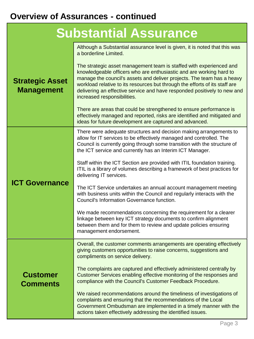## **Overview of Assurances - continued**

| <b>Strategic Asset</b><br><b>Management</b> | Although a Substantial assurance level is given, it is noted that this was<br>a borderline Limited.<br>The strategic asset management team is staffed with experienced and<br>knowledgeable officers who are enthusiastic and are working hard to<br>manage the council's assets and deliver projects. The team has a heavy<br>workload relative to its resources but through the efforts of its staff are<br>delivering an effective service and have responded positively to new and<br>increased responsibilities.<br>There are areas that could be strengthened to ensure performance is<br>effectively managed and reported, risks are identified and mitigated and<br>ideas for future development are captured and advanced.                                                                                                                                                                      |
|---------------------------------------------|----------------------------------------------------------------------------------------------------------------------------------------------------------------------------------------------------------------------------------------------------------------------------------------------------------------------------------------------------------------------------------------------------------------------------------------------------------------------------------------------------------------------------------------------------------------------------------------------------------------------------------------------------------------------------------------------------------------------------------------------------------------------------------------------------------------------------------------------------------------------------------------------------------|
| <b>ICT Governance</b>                       | There were adequate structures and decision making arrangements to<br>allow for IT services to be effectively managed and controlled. The<br>Council is currently going through some transition with the structure of<br>the ICT service and currently has an Interim ICT Manager.<br>Staff within the ICT Section are provided with ITIL foundation training.<br>ITIL is a library of volumes describing a framework of best practices for<br>delivering IT services.<br>The ICT Service undertakes an annual account management meeting<br>with business units within the Council and regularly interacts with the<br>Council's Information Governance function.<br>We made recommendations concerning the requirement for a clearer<br>linkage between key ICT strategy documents to confirm alignment<br>between them and for them to review and update policies ensuring<br>management endorsement. |
| <b>Customer</b><br><b>Comments</b>          | Overall, the customer comments arrangements are operating effectively<br>giving customers opportunities to raise concerns, suggestions and<br>compliments on service delivery.<br>The complaints are captured and effectively administered centrally by<br>Customer Services enabling effective monitoring of the responses and<br>compliance with the Council's Customer Feedback Procedure.<br>We raised recommendations around the timeliness of investigations of<br>complaints and ensuring that the recommendations of the Local<br>Government Ombudsman are implemented in a timely manner with the<br>actions taken effectively addressing the identified issues.                                                                                                                                                                                                                                |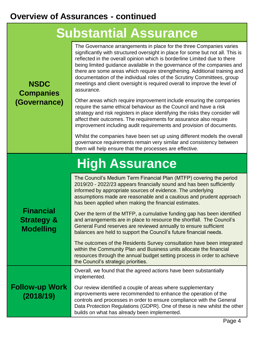#### **Overview of Assurances - continued**

## **Substantial Assurance**

The Governance arrangements in place for the three Companies varies

**NSDC Companies (Governance)**  significantly with structured oversight in place for some but not all. This is reflected in the overall opinion which is borderline Limited due to there being limited guidance available in the governance of the companies and there are some areas which require strengthening. Additional training and documentation of the individual roles of the Scrutiny Committees, group meetings and client oversight is required overall to improve the level of assurance. Other areas which require improvement include ensuring the companies require the same ethical behaviour as the Council and have a risk strategy and risk registers in place identifying the risks they consider will affect their outcomes. The requirements for assurance also require improvement including audit requirements and provision of documents. Whilst the companies have been set up using different models the overall governance requirements remain very similar and consistency between them will help ensure that the processes are effective. **High Assurance Financial Strategy & Modelling** The Council's Medium Term Financial Plan (MTFP) covering the period 2019/20 - 2022/23 appears financially sound and has been sufficiently informed by appropriate sources of evidence. The underlying assumptions made are reasonable and a cautious and prudent approach has been applied when making the financial estimates. Over the term of the MTFP, a cumulative funding gap has been identified and arrangements are in place to resource the shortfall. The Council's General Fund reserves are reviewed annually to ensure sufficient balances are held to support the Council's future financial needs. The outcomes of the Residents Survey consultation have been integrated within the Community Plan and Business units allocate the financial resources through the annual budget setting process in order to achieve the Council's strategic priorities. **Follow-up Work (2018/19)** Overall, we found that the agreed actions have been substantially implemented. Our review identified a couple of areas where supplementary improvements were recommended to enhance the operation of the controls and processes in order to ensure compliance with the General Data Protection Regulations (GDPR). One of these is new whilst the other

builds on what has already been implemented.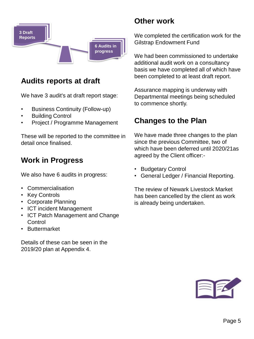

#### **Audits reports at draft**

We have 3 audit's at draft report stage:

- Business Continuity (Follow-up)
- Building Control
- Project / Programme Management

These will be reported to the committee in detail once finalised.

#### **Work in Progress**

We also have 6 audits in progress:

- Commercialisation
- Key Controls
- Corporate Planning
- ICT incident Management
- ICT Patch Management and Change **Control**
- Buttermarket

Details of these can be seen in the 2019/20 plan at Appendix 4.

#### **Other work**

We completed the certification work for the Gilstrap Endowment Fund

We had been commissioned to undertake additional audit work on a consultancy basis we have completed all of which have been completed to at least draft report.

Assurance mapping is underway with Departmental meetings being scheduled to commence shortly.

#### **Changes to the Plan**

We have made three changes to the plan since the previous Committee, two of which have been deferred until 2020/21as agreed by the Client officer:-

- Budgetary Control
- General Ledger / Financial Reporting.

The review of Newark Livestock Market has been cancelled by the client as work is already being undertaken.

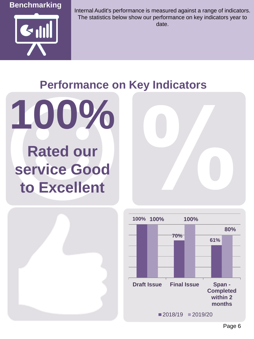



Internal Audit's performance is measured against a range of indicators. The statistics below show our performance on key indicators year to date.

## **Performance on Key Indicators**



## **Rated our service Good to Excellent**





Page 6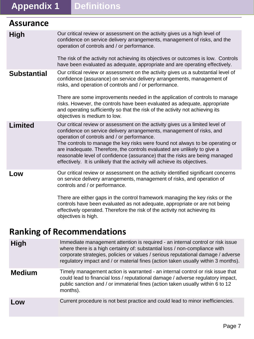## **Appendix 1 Definitions**

| <b>Assurance</b>   |                                                                                                                                                                                                                                                                                                                                                                                                                                                                                                                                 |
|--------------------|---------------------------------------------------------------------------------------------------------------------------------------------------------------------------------------------------------------------------------------------------------------------------------------------------------------------------------------------------------------------------------------------------------------------------------------------------------------------------------------------------------------------------------|
| <b>High</b>        | Our critical review or assessment on the activity gives us a high level of<br>confidence on service delivery arrangements, management of risks, and the<br>operation of controls and / or performance.                                                                                                                                                                                                                                                                                                                          |
|                    | The risk of the activity not achieving its objectives or outcomes is low. Controls<br>have been evaluated as adequate, appropriate and are operating effectively.                                                                                                                                                                                                                                                                                                                                                               |
| <b>Substantial</b> | Our critical review or assessment on the activity gives us a substantial level of<br>confidence (assurance) on service delivery arrangements, management of<br>risks, and operation of controls and / or performance.<br>There are some improvements needed in the application of controls to manage                                                                                                                                                                                                                            |
|                    | risks. However, the controls have been evaluated as adequate, appropriate<br>and operating sufficiently so that the risk of the activity not achieving its<br>objectives is medium to low.                                                                                                                                                                                                                                                                                                                                      |
| <b>Limited</b>     | Our critical review or assessment on the activity gives us a limited level of<br>confidence on service delivery arrangements, management of risks, and<br>operation of controls and / or performance.<br>The controls to manage the key risks were found not always to be operating or<br>are inadequate. Therefore, the controls evaluated are unlikely to give a<br>reasonable level of confidence (assurance) that the risks are being managed<br>effectively. It is unlikely that the activity will achieve its objectives. |
| Low                | Our critical review or assessment on the activity identified significant concerns<br>on service delivery arrangements, management of risks, and operation of<br>controls and / or performance.                                                                                                                                                                                                                                                                                                                                  |
|                    | There are either gaps in the control framework managing the key risks or the<br>controls have been evaluated as not adequate, appropriate or are not being<br>effectively operated. Therefore the risk of the activity not achieving its                                                                                                                                                                                                                                                                                        |

#### **Ranking of Recommendations**

objectives is high.

**High** Immediate management attention is required - an internal control or risk issue where there is a high certainty of: substantial loss / non-compliance with corporate strategies, policies or values / serious reputational damage / adverse regulatory impact and / or material fines (action taken usually within 3 months).

**Medium** Timely management action is warranted - an internal control or risk issue that could lead to financial loss / reputational damage / adverse regulatory impact, public sanction and / or immaterial fines (action taken usually within 6 to 12 months).

#### **Low** Current procedure is not best practice and could lead to minor inefficiencies.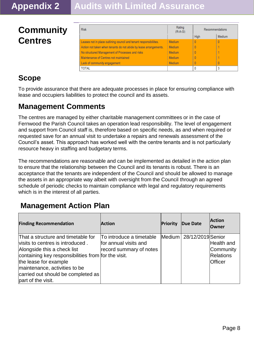## **Community Centres**

| <b>Risk</b>                                                        | Rating<br>$(R-A-G)$ | Recommendations |        |
|--------------------------------------------------------------------|---------------------|-----------------|--------|
|                                                                    |                     | High            | Medium |
| Leases not in place outlining council and tenant responsibiliites. | <b>Medium</b>       | 0               | 0      |
| Action not taken when tenants do not abide by lease arrangements.  | Medium              | 0               |        |
| No structured Management of Processes and risks                    | Medium              |                 |        |
| Maintenance of Centres not maintained                              | <b>Medium</b>       |                 |        |
| Lack of community engagement                                       | Medium              |                 | ٥      |
| <b>TOTAL</b>                                                       |                     |                 | 3      |

### **Scope**

To provide assurance that there are adequate processes in place for ensuring compliance with lease and occupiers liabilities to protect the council and its assets.

#### **Management Comments**

The centres are managed by either charitable management committees or in the case of Fernwood the Parish Council takes an operation lead responsibility. The level of engagement and support from Council staff is, therefore based on specific needs, as and when required or requested save for an annual visit to undertake a repairs and renewals assessment of the Council's asset. This approach has worked well with the centre tenants and is not particularly resource heavy in staffing and budgetary terms.

The recommendations are reasonable and can be implemented as detailed in the action plan to ensure that the relationship between the Council and its tenants is robust. There is an acceptance that the tenants are independent of the Council and should be allowed to manage the assets in an appropriate way albeit with oversight from the Council through an agreed schedule of periodic checks to maintain compliance with legal and regulatory requirements which is in the interest of all parties.

#### **Management Action Plan**

| <b>Finding Recommendation</b>                                                                                                                                                                                                                                                      | <b>Action</b>                                                                | <b>Priority</b> | Due Date                 | <b>Action</b><br><b>Owner</b>                   |
|------------------------------------------------------------------------------------------------------------------------------------------------------------------------------------------------------------------------------------------------------------------------------------|------------------------------------------------------------------------------|-----------------|--------------------------|-------------------------------------------------|
| That a structure and timetable for<br>visits to centres is introduced.<br>Alongside this a check list<br>containing key responsibilities from for the visit.<br>the lease for example<br>maintenance, activities to be<br>carried out should be completed as<br>part of the visit. | To introduce a timetable<br>for annual visits and<br>record summary of notes |                 | Medium 28/12/2019 Senior | Health and<br>Community<br>Relations<br>Officer |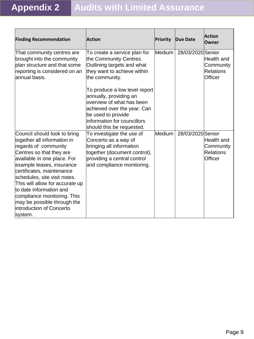| <b>Finding Recommendation</b>                                                                                                                                                                                                                                                                                                                                                                                | <b>Action</b>                                                                                                                                                              | Priority | <b>Due Date</b>   | <b>Action</b><br>Owner                                 |
|--------------------------------------------------------------------------------------------------------------------------------------------------------------------------------------------------------------------------------------------------------------------------------------------------------------------------------------------------------------------------------------------------------------|----------------------------------------------------------------------------------------------------------------------------------------------------------------------------|----------|-------------------|--------------------------------------------------------|
| That community centres are<br>brought into the community<br>plan structure and that some<br>reporting is considered on an<br>annual basis.                                                                                                                                                                                                                                                                   | To create a service plan for<br>the Community Centres.<br>Outlining targets and what<br>they want to achieve within<br>the community.<br>To produce a low level report     | Medium   | 28/03/2020 Senior | Health and<br>Community<br><b>Relations</b><br>Officer |
|                                                                                                                                                                                                                                                                                                                                                                                                              | annually, providing an<br>overview of what has been<br>achieved over the year. Can<br>be used to provide<br>information for councillors<br>should this be requested.       |          |                   |                                                        |
| Council should look to bring<br>together all information in<br>regards of community<br>Centres so that they are<br>available in one place. For<br>example leases, insurance<br>certificates, maintenance<br>schedules, site visit notes.<br>This will allow for accurate up<br>lto date information and<br>compliance monitoring. This<br>may be possible through the<br>introduction of Concerto<br>system. | To investigate the use of<br>Concerto as a way of<br>bringing all information<br>together (document control),<br>providing a central control<br>and compliance monitoring. | Medium   | 28/03/2020 Senior | Health and<br>Community<br><b>Relations</b><br>Officer |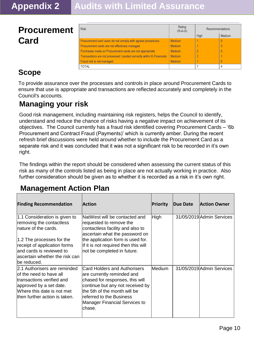| <b>Procurement</b> | <b>Risk</b>                                                                                                  | Rating<br>$(R-A-G)$            | Recommendations<br>High | Medium |
|--------------------|--------------------------------------------------------------------------------------------------------------|--------------------------------|-------------------------|--------|
| Card               | Procurement card users do not comply with agreed procedures<br>Procurement cards are not effectively managed | <b>Medium</b><br><b>Medium</b> |                         |        |
|                    | Purchases made on Procurement cards are not appropriate                                                      | <b>Medium</b>                  |                         |        |
|                    | Transactions are not processed / posted correctly within E-Financials                                        | Medium                         |                         |        |
|                    | Fraud risk is not managed                                                                                    | <b>Medium</b>                  |                         |        |
|                    | <b>TOTAL</b>                                                                                                 |                                |                         |        |

#### **Scope**

To provide assurance over the processes and controls in place around Procurement Cards to ensure that use is appropriate and transactions are reflected accurately and completely in the Council's accounts.

#### **Managing your risk**

Good risk management, including maintaining risk registers, helps the Council to identify, understand and reduce the chance of risks having a negative impact on achievement of its objectives. The Council currently has a fraud risk identified covering Procurement Cards – '6b Procurement and Contract Fraud (Payments)' which is currently amber. During the recent refresh brief discussions were held around whether to include the Procurement Card as a separate risk and it was concluded that it was not a significant risk to be recorded in it's own right.

The findings within the report should be considered when assessing the current status of this risk as many of the controls listed as being in place are not actually working in practice. Also further consideration should be given as to whether it is recorded as a risk in it's own right.

#### **Management Action Plan**

| <b>Finding Recommendation</b>                                                                                                                                                                                                | <b>Action</b>                                                                                                                                                                                                                              | Priority    | Due Date | <b>Action Owner</b>       |
|------------------------------------------------------------------------------------------------------------------------------------------------------------------------------------------------------------------------------|--------------------------------------------------------------------------------------------------------------------------------------------------------------------------------------------------------------------------------------------|-------------|----------|---------------------------|
| 1.1 Consideration is given to<br>removing the contactless<br>nature of the cards.<br>1.2 The processes for the<br>receipt of application forms<br>land cards is reviewed to<br>ascertain whether the risk can<br>be reduced. | NatWest will be contacted and<br>requested to remove the<br>contactless facility and also to<br>ascertain what the password on<br>the application form is used for.<br>If it is not required then this will<br>not be completed in future. | <b>High</b> |          | 31/05/2019 Admin Services |
| 2.1 Authorisers are reminded<br>lof the need to have all<br>transactions verified and<br>approved by a set date.<br>Where this date is not met<br>lthen further action is taken.                                             | Card Holders and Authorisers<br>are currently reminded and<br>chased for responses, this will<br>continue but any not received by<br>the 5th of the month will be<br>lreferred to the Business<br>Manager Financial Services to<br>chase.  | Medium      |          | 31/05/2019 Admin Services |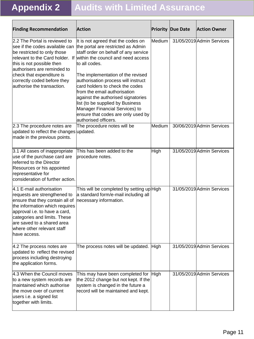| <b>Finding Recommendation</b>                                                                                                                                                                                                                                              | <b>Action</b>                                                                                                                                                                                                                                                                                                                                                                                                                                                                                                                    |        | <b>Priority Due Date</b> | <b>Action Owner</b>       |
|----------------------------------------------------------------------------------------------------------------------------------------------------------------------------------------------------------------------------------------------------------------------------|----------------------------------------------------------------------------------------------------------------------------------------------------------------------------------------------------------------------------------------------------------------------------------------------------------------------------------------------------------------------------------------------------------------------------------------------------------------------------------------------------------------------------------|--------|--------------------------|---------------------------|
| 2.2 The Portal is reviewed to<br>see if the codes available can<br>be restricted to only those<br>this is not possible then<br>authorisers are reminded to<br>check that expenditure is<br>correctly coded before they<br>authorise the transaction.                       | It is not agreed that the codes on<br>the portal are restricted as Admin<br>staff order on behalf of any service<br>relevant to the Card holder. If within the council and need access<br>to all codes.<br>The implementation of the revised<br>authorisation process will instruct<br>card holders to check the codes<br>from the email authorisation<br>against the authorised signatories<br>list (to be supplied by Business<br>Manager Financial Services) to<br>ensure that codes are only used by<br>authorised officers. | Medium |                          | 31/05/2019 Admin Services |
| 2.3 The procedure notes are<br>updated to reflect the changes updated.<br>made in the previous points.                                                                                                                                                                     | The procedure notes will be                                                                                                                                                                                                                                                                                                                                                                                                                                                                                                      | Medium |                          | 30/06/2019 Admin Services |
| 3.1 All cases of inappropriate<br>use of the purchase card are<br>referred to the Director<br>Resources or his appointed<br>representative for<br>consideration of further action.                                                                                         | This has been added to the<br>procedure notes.                                                                                                                                                                                                                                                                                                                                                                                                                                                                                   | High   |                          | 31/05/2019 Admin Services |
| 4.1 E-mail authorisation<br>requests are strengthened to<br>ensure that they contain all of<br>the information which requires<br>approval i.e. to have a card,<br>categories and limits. These<br>are saved to a shared area<br>where other relevant staff<br>have access. | This will be completed by setting up High<br>a standard form/e-mail including all<br>necessary information.                                                                                                                                                                                                                                                                                                                                                                                                                      |        |                          | 31/05/2019 Admin Services |
| 4.2 The process notes are<br>updated to reflect the revised<br>process including destroying<br>the application forms.                                                                                                                                                      | The process notes will be updated. High                                                                                                                                                                                                                                                                                                                                                                                                                                                                                          |        |                          | 31/05/2019 Admin Services |
| 4.3 When the Council moves<br>to a new system records are<br>maintained which authorise<br>the move over of current<br>users i.e. a signed list<br>together with limits.                                                                                                   | This may have been completed for<br>the 2012 change but not kept. If the<br>system is changed in the future a<br>record will be maintained and kept.                                                                                                                                                                                                                                                                                                                                                                             | High   |                          | 31/05/2019 Admin Services |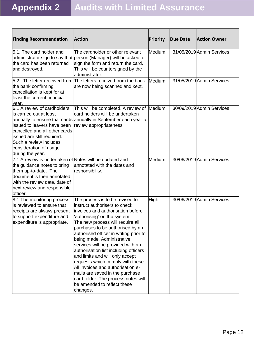| <b>Finding Recommendation</b>                                                                                                                                                                                                | <b>Action</b>                                                                                                                                                                                                                                                                                                                                                                                                                                                                                                                                                                                         | Priority | Due Date | <b>Action Owner</b>       |
|------------------------------------------------------------------------------------------------------------------------------------------------------------------------------------------------------------------------------|-------------------------------------------------------------------------------------------------------------------------------------------------------------------------------------------------------------------------------------------------------------------------------------------------------------------------------------------------------------------------------------------------------------------------------------------------------------------------------------------------------------------------------------------------------------------------------------------------------|----------|----------|---------------------------|
| 5.1. The card holder and<br>the card has been returned<br>and destroyed.                                                                                                                                                     | The cardholder or other relevant<br>administrator sign to say that person (Manager) will be asked to<br>sign the form and return the card.<br>This will be countersigned by the<br>administrator.                                                                                                                                                                                                                                                                                                                                                                                                     | Medium   |          | 31/05/2019 Admin Services |
| the bank confirming<br>cancellation is kept for at<br>least the current financial<br>year.                                                                                                                                   | 5.2. The letter received from The letters received from the bank<br>are now being scanned and kept.                                                                                                                                                                                                                                                                                                                                                                                                                                                                                                   | Medium   |          | 31/05/2019 Admin Services |
| 6.1 A review of cardholders<br>is carried out at least<br>issued to leavers have been<br>cancelled and all other cards<br>issued are still required.<br>Such a review includes<br>consideration of usage<br>during the year. | This will be completed. A review of Medium<br>card holders will be undertaken<br>annually to ensure that cards annually in September each year to<br>review appropriateness                                                                                                                                                                                                                                                                                                                                                                                                                           |          |          | 30/09/2019 Admin Services |
| 7.1 A review is undertaken of Notes will be updated and<br>the guidance notes to bring<br>them up-to-date. The<br>document is then annotated<br>with the review date, date of<br>next review and responsible<br>officer.     | annotated with the dates and<br>responsibility.                                                                                                                                                                                                                                                                                                                                                                                                                                                                                                                                                       | Medium   |          | 30/06/2019 Admin Services |
| 8.1 The monitoring process<br>is reviewed to ensure that<br>receipts are always present<br>to support expenditure and<br>expenditure is appropriate.                                                                         | The process is to be revised to<br>instruct authorisers to check<br>invoices and authorisation before<br>'authorising' on the system.<br>The new process will require all<br>purchases to be authorised by an<br>authorised officer in writing prior to<br>being made. Administrative<br>services will be provided with an<br>authorisation list including officers<br>and limits and will only accept<br>requests which comply with these.<br>All invoices and authorisation e-<br>mails are saved in the purchase<br>card folder. The process notes will<br>be amended to reflect these<br>changes. | High     |          | 30/06/2019 Admin Services |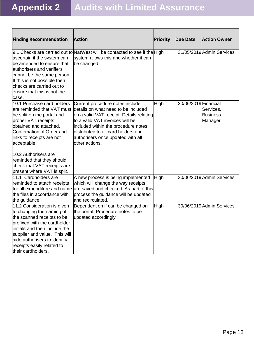| <b>Finding Recommendation</b>                                                                                                                                                                                                                                                                                                       | <b>Action</b>                                                                                                                                                                                                                                                                              | <b>Priority</b> | <b>Due Date</b>      | <b>Action Owner</b>                     |
|-------------------------------------------------------------------------------------------------------------------------------------------------------------------------------------------------------------------------------------------------------------------------------------------------------------------------------------|--------------------------------------------------------------------------------------------------------------------------------------------------------------------------------------------------------------------------------------------------------------------------------------------|-----------------|----------------------|-----------------------------------------|
| ascertain if the system can<br>be amended to ensure that<br>authorisers and verifiers<br>cannot be the same person.<br>If this is not possible then<br>checks are carried out to<br>ensure that this is not the<br>lcase.                                                                                                           | 9.1 Checks are carried out to NatWest will be contacted to see if the High<br>system allows this and whether it can<br>be changed.                                                                                                                                                         |                 |                      | 31/05/2019 Admin Services               |
| 10.1 Purchase card holders<br>are reminded that VAT must<br>be split on the portal and<br>proper VAT receipts<br>obtained and attached.<br>Confirmation of Order and<br>links to receipts are not<br>acceptable.<br>10.2 Authorisers are<br>reminded that they should<br>check that VAT receipts are<br>present where VAT is split. | Current procedure notes include<br>details on what need to be included<br>on a valid VAT receipt. Details relating<br>to a valid VAT invoices will be<br>included within the procedure notes<br>distributed to all card holders and<br>authorisers once updated with all<br>other actions. | High            | 30/06/2019 Financial | Services,<br><b>Business</b><br>Manager |
| 11.1 Cardholders are<br>reminded to attach receipts<br>for all expenditure and name<br>the files in accordance with<br>the guidance.                                                                                                                                                                                                | A new process is being implemented<br>which will change the way receipts<br>are saved and checked. As part of this<br>process the guidance will be updated<br>and recirculated.                                                                                                            | High            |                      | 30/06/2019 Admin Services               |
| 11.2 Consideration is given<br>to changing the naming of<br>the scanned receipts to be<br>prefixed with the cardholder<br>initials and then include the<br>supplier and value. This will<br>aide authorisers to identify<br>receipts easily related to<br>their cardholders.                                                        | Dependent on if can be changed on<br>the portal. Procedure notes to be<br>updated accordingly                                                                                                                                                                                              | High            |                      | 30/06/2019 Admin Services               |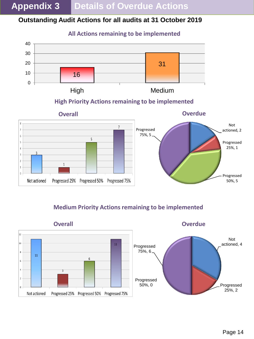#### **Outstanding Audit Actions for all audits at 31 October 2019**



**All Actions remaining to be implemented**

**High Priority Actions remaining to be implemented**



#### **Medium Priority Actions remaining to be implemented**

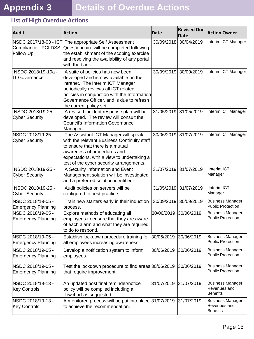#### **List of High Overdue Actions**

| <b>Audit</b>                                   | <b>Action</b>                                                                                                                                                                                                                                                                  | <b>Date</b> | <b>Revised Due</b><br>Date | <b>Action Owner</b>                           |
|------------------------------------------------|--------------------------------------------------------------------------------------------------------------------------------------------------------------------------------------------------------------------------------------------------------------------------------|-------------|----------------------------|-----------------------------------------------|
| Compliance - PCI DSS<br>Follow Up              | NSDC 2017/18-03 - ICT The appropriate Self Assessment<br>Questionnaire will be completed following<br>the establishment of the scoping exercise<br>and resolving the availability of any portal<br>with the bank.                                                              | 30/09/2018  | 30/04/2019                 | Interim ICT Manager                           |
| NSDC 2018/19-10a -<br><b>IT Governance</b>     | A suite of policies has now been<br>developed and is now available on the<br>intranet. The Interim ICT Manager<br>periodically reviews all ICT related<br>policies in conjunction with the Information<br>Governance Officer, and is due to refresh<br>the current policy set. | 30/09/2019  | 30/09/2019                 | Interim ICT Manager                           |
| NSDC 2018/19-25 -<br><b>Cyber Security</b>     | A revised incident response plan will be<br>developed. The review will consult the<br><b>Council's Information Governance</b><br>Manager.                                                                                                                                      | 31/05/2019  | 31/05/2019                 | Interim ICT Manager                           |
| NSDC 2018/19-25 -<br>Cyber Security            | The Assistant ICT Manager will speak<br>with the relevant Business Continuity staff<br>to ensure that there is a mutual<br>awareness of procedures and<br>expectations, with a view to undertaking a<br>test of the cyber security arrangements.                               | 30/06/2019  | 31/07/2019                 | Interim ICT Manager                           |
| NSDC 2018/19-25 -<br><b>Cyber Security</b>     | A Security Information and Event<br>Management solution will be investigated<br>and a preferred solution identified.                                                                                                                                                           | 31/07/2019  | 31/07/2019                 | Interim ICT<br>Manager                        |
| NSDC 2018/19-25 -<br>Cyber Security            | Audit policies on servers will be<br>configured to best practice                                                                                                                                                                                                               | 31/05/2019  | 31/07/2019                 | Interim ICT<br>Manager                        |
| NSDC 2018/19-05 -<br><b>Emergency Planning</b> | Train new starters early in their induction<br>process.                                                                                                                                                                                                                        | 30/09/2019  | 30/09/2019                 | Business Manager,<br>Public Protection        |
| NSDC 2018/19-05 -<br>Emergency Planning        | Explore methods of educating all<br>employees to ensure that they are aware<br>of each alarm and what they are required<br>to do to respond.                                                                                                                                   | 30/06/2019  | 30/06/2019                 | Business Manager,<br>Public Protection        |
| NSDC 2018/19-05 -<br>Emergency Planning        | Establish lockdown procedure training for $30/06/2019$ $30/06/2019$<br>all employees increasing awareness.                                                                                                                                                                     |             |                            | Business Manager,<br>Public Protection        |
| NSDC 2018/19-05 -<br>Emergency Planning        | Develop a notification system to inform<br>employees.                                                                                                                                                                                                                          | 30/06/2019  | 30/06/2019                 | Business Manager,<br>Public Protection        |
| NSDC 2018/19-05 -<br><b>Emergency Planning</b> | Test the lockdown procedure to find areas 30/06/2019<br>that require improvement.                                                                                                                                                                                              |             | 30/06/2019                 | Business Manager,<br>Public Protection        |
| NSDC 2018/19-13 -<br><b>Key Controls</b>       | An updated post final reminder/notice<br>policy will be compiled including a<br>flowchart as suggested.                                                                                                                                                                        | 31/07/2019  | 31/07/2019                 | Business Manager,<br>Revenues and<br>Benefits |
| NSDC 2018/19-13 -<br>Key Controls              | A monitored process will be put into place 31/07/2019<br>to achieve the recommendation.                                                                                                                                                                                        |             | 31/07/2019                 | Business Manager,<br>Revenues and<br>Benefits |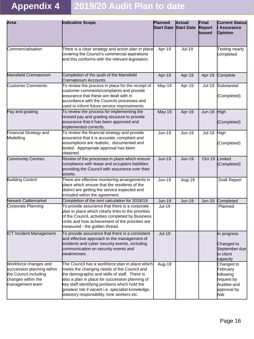## **Appendix 4 2019/20 Audit Plan to date**

| Area                                                                                                                  | Indicative Scope                                                                                                                                                                                                                                                                                                                                          | Planned<br><b>Start Date Start Date</b> | <b>Actual</b> | Final<br><b>Report</b><br><b>Issued</b> | <b>Current Status</b><br><b>Assurance</b><br>Opinion                                   |
|-----------------------------------------------------------------------------------------------------------------------|-----------------------------------------------------------------------------------------------------------------------------------------------------------------------------------------------------------------------------------------------------------------------------------------------------------------------------------------------------------|-----------------------------------------|---------------|-----------------------------------------|----------------------------------------------------------------------------------------|
| Commercialisation                                                                                                     | There is a clear strategy and action plan in place<br>covering the Council's commercial aspirations<br>and this conforms with the relevant legislation.                                                                                                                                                                                                   | Apr-19                                  | <b>Jul-19</b> |                                         | Testing nearly<br>completed                                                            |
| Mansfield Crematorium                                                                                                 | Completion of the audit of the Mansfield<br>Crematorium Accounts                                                                                                                                                                                                                                                                                          | Apr-19                                  | Apr-19        | Apr-19                                  | Complete                                                                               |
| <b>Customer Comments</b>                                                                                              | To review the process in place for the receipt of<br>customer comments/complaints and provide<br>lassurance that these are dealt with in<br>accordance with the Councils processes and<br>used to inform future service improvements.                                                                                                                     | May-19                                  | Apr-19        | <b>Jul-19</b>                           | Substantial<br>(Completed)                                                             |
| Pay and grading                                                                                                       | To review the process for implementing the<br>revised pay and grading structure to provide<br>assurance that it has been approved and<br>implemented correctly.                                                                                                                                                                                           | <b>May-19</b>                           | Apr-19        | <b>Jun-19</b>                           | High<br>(Completed)                                                                    |
| Financial Strategy and<br>Modelling                                                                                   | To review the financial strategy and provide<br>assurance that it is accurate, compliant and<br>assumptions are realistic, documented and<br>tested. Appropriate approval has been<br><b>l</b> obtained.                                                                                                                                                  | $Jun-19$                                | $Jun-19$      | <b>Jul-19</b>                           | <b>High</b><br>(Completed)                                                             |
| <b>Community Centres</b>                                                                                              | Review of the processes in place which ensure<br>compliance with lease and occupiers liabilities<br>providing the Council with assurance over their<br>assets.                                                                                                                                                                                            | <b>Jun-19</b>                           | <b>Jun-19</b> | Oct-19                                  | Limited<br>(Completed)                                                                 |
| <b>Building Control</b>                                                                                               | There are effective monitoring arrangements in<br>place which ensure that the residents of the<br>district are getting the service expected and<br>included within the agreement.                                                                                                                                                                         | $Jun-19$                                | Aug-19        |                                         | <b>Draft Report</b>                                                                    |
| <b>Newark Cattlemarket</b>                                                                                            | Completion of the rent calculation for 2018/19                                                                                                                                                                                                                                                                                                            | <b>Jun-19</b>                           | <b>Jun-19</b> | <b>Jun-19</b>                           | Completed                                                                              |
| Corporate Planning                                                                                                    | To provide assurance that there is a corporate<br>plan in place which clearly links to the priorities<br>of the Council, activities completed by Business<br>Units and how achievement of the priorities are<br>measured - the golden thread.                                                                                                             | <b>Jul-19</b>                           |               |                                         | Planned                                                                                |
| ICT Incident Management                                                                                               | To provide assurance that there is a consistent<br>and effective approach to the management of<br>incidents and cyber security events, including<br>communication on security events and<br>weaknesses.                                                                                                                                                   | <b>Jul-19</b>                           |               |                                         | In progress<br>Changed to<br>September due<br>to client<br>capacity                    |
| Workforce changes and<br>succession planning within<br>the Council including<br>changes within the<br>management team | The Council has a workforce plan in place which<br>meets the changing needs of the Council and<br>the demographic and skills of staff. There is<br>also a plan in place for succession planning of<br>key staff identifying positions which hold the<br>greatest risk if vacant i.e. specialist knowledge,<br>statutory responsibility, lone workers etc. | Aug-19                                  |               |                                         | Changed to<br>February<br>following<br>request by<br>Auditee and<br>approval by<br>NW. |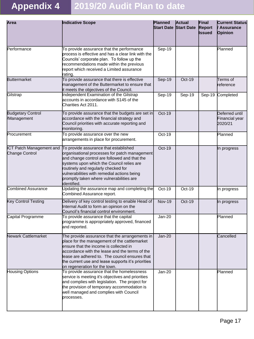## **Appendix 4 2019/20 Audit Plan to date**

| Area                                       | Indicative Scope                                                                                                                                                                                                                                                                                                                     | <b>Planned</b><br><b>Start Date Start Date</b> | <b>Actual</b> | Final<br><b>Report</b><br>Issued | <b>Current Status</b><br><b>Assurance</b><br>Opinion |
|--------------------------------------------|--------------------------------------------------------------------------------------------------------------------------------------------------------------------------------------------------------------------------------------------------------------------------------------------------------------------------------------|------------------------------------------------|---------------|----------------------------------|------------------------------------------------------|
| Performance                                | To provide assurance that the performance<br>process is effective and has a clear link with the<br>Councils' corporate plan. To follow up the<br>recommendations made within the previous<br>report which received a Limited assurance<br>rating.                                                                                    | $Sep-19$                                       |               |                                  | Planned                                              |
| <b>Buttermarket</b>                        | To provide assurance that there is effective<br>management of the Buttermarket to ensure that<br>it meets the objectives of the Council.                                                                                                                                                                                             | <b>Sep-19</b>                                  | Oct-19        |                                  | Terms of<br>reference                                |
| Gilstrap                                   | Independent Examination of the Gilstrap<br>accounts in accordance with S145 of the<br>Charities Act 2011.                                                                                                                                                                                                                            | Sep-19                                         | Sep-19        |                                  | Sep-19 Completed                                     |
| <b>Budgetary Control</b><br>/Management    | To provide assurance that the budgets are set in<br>accordance with the financial strategy and<br>Council priorities with accurate reporting and<br>monitoring.                                                                                                                                                                      | $Oct-19$                                       |               |                                  | Deferred until<br>Financial year<br>2020/21          |
| Procurement                                | To provide assurance over the new<br>arrangements in place for procurement.                                                                                                                                                                                                                                                          | Oct-19                                         |               |                                  | Planned                                              |
| ICT Patch Management and<br>Change Control | To provide assurance that established<br>organisational processes for patch management<br>and change control are followed and that the<br>systems upon which the Council relies are<br>routinely and regularly checked for<br>vulnerabilities with remedial actions being<br>promptly taken where vulnerabilities are<br>identified. | <b>Oct-19</b>                                  |               |                                  | In progress                                          |
| <b>Combined Assurance</b>                  | Updating the assurance map and completing the<br>Combined Assurance report.                                                                                                                                                                                                                                                          | Oct-19                                         | Oct-19        |                                  | In progress                                          |
| <b>Key Control Testing</b>                 | Delivery of key control testing to enable Head of<br>Internal Audit to form an opinion on the<br>Council's financial control environment.                                                                                                                                                                                            | <b>Nov-19</b>                                  | Oct-19        |                                  | In progress                                          |
| Capital Programme                          | To provide assurance that the capital<br>programme is appropriately approved, financed<br>and reported.                                                                                                                                                                                                                              | <b>Jan-20</b>                                  |               |                                  | Planned                                              |
| <b>Newark Cattlemarket</b>                 | The provide assurance that the arrangements in<br>place for the management of the cattlemarket<br>ensure that the income is collected in<br>accordance with the lease and the terms of the<br>lease are adhered to. The council ensures that<br>the current use and lease supports it's priorities<br>on regeneration for the town.  | <b>Jan-20</b>                                  |               |                                  | Cancelled                                            |
| <b>Housing Options</b>                     | To provide assurance that the homelessness<br>service is meeting it's objectives and priorities<br>and complies with legislation. The project for<br>the provision of temporary accommodation is<br>well managed and complies with Council<br>processes.                                                                             | <b>Jan-20</b>                                  |               |                                  | Planned                                              |